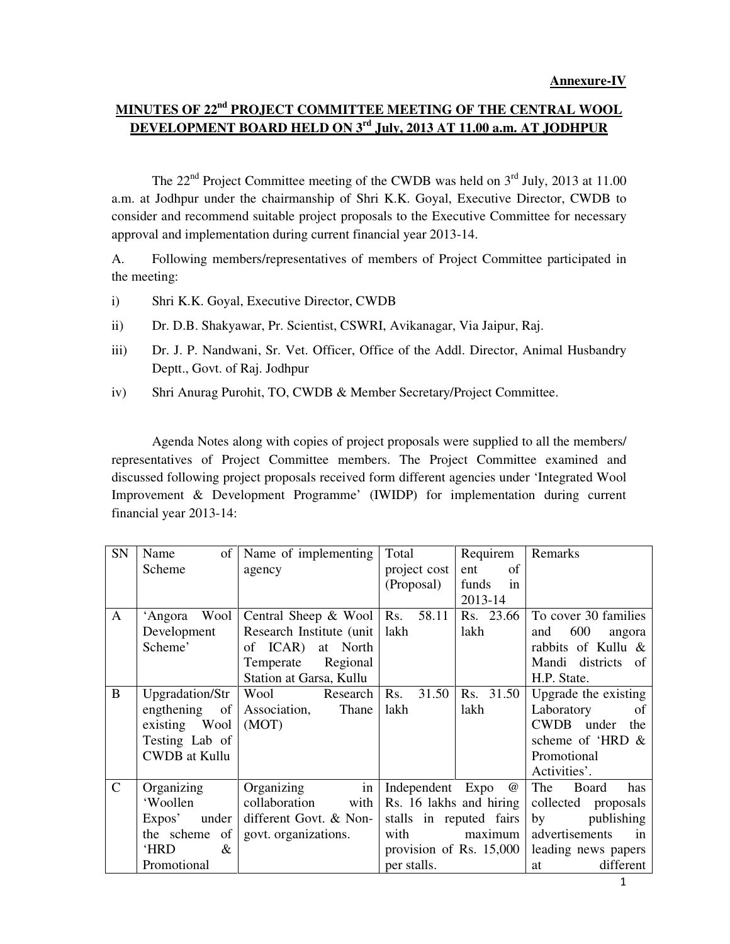# **MINUTES OF 22nd PROJECT COMMITTEE MEETING OF THE CENTRAL WOOL DEVELOPMENT BOARD HELD ON 3rd July, 2013 AT 11.00 a.m. AT JODHPUR**

The  $22<sup>nd</sup>$  Project Committee meeting of the CWDB was held on  $3<sup>rd</sup>$  July, 2013 at 11.00 a.m. at Jodhpur under the chairmanship of Shri K.K. Goyal, Executive Director, CWDB to consider and recommend suitable project proposals to the Executive Committee for necessary approval and implementation during current financial year 2013-14.

A. Following members/representatives of members of Project Committee participated in the meeting:

- i) Shri K.K. Goyal, Executive Director, CWDB
- ii) Dr. D.B. Shakyawar, Pr. Scientist, CSWRI, Avikanagar, Via Jaipur, Raj.
- iii) Dr. J. P. Nandwani, Sr. Vet. Officer, Office of the Addl. Director, Animal Husbandry Deptt., Govt. of Raj. Jodhpur
- iv) Shri Anurag Purohit, TO, CWDB & Member Secretary/Project Committee.

 Agenda Notes along with copies of project proposals were supplied to all the members/ representatives of Project Committee members. The Project Committee examined and discussed following project proposals received form different agencies under 'Integrated Wool Improvement & Development Programme' (IWIDP) for implementation during current financial year 2013-14:

| SN            | of<br>Name                  | Name of implementing       | Total                   | Requirem    | Remarks                         |
|---------------|-----------------------------|----------------------------|-------------------------|-------------|---------------------------------|
|               | Scheme                      | agency                     | project cost            | of<br>ent   |                                 |
|               |                             |                            | (Proposal)              | in<br>funds |                                 |
|               |                             |                            |                         | 2013-14     |                                 |
| A             | Wool<br>'Angora             | Central Sheep & Wool   Rs. | 58.11                   | Rs. 23.66   | To cover 30 families            |
|               | Development                 | Research Institute (unit)  | lakh                    | lakh        | 600<br>and<br>angora            |
|               | Scheme'                     | of ICAR)<br>at North       |                         |             | rabbits of Kullu &              |
|               |                             | Regional<br>Temperate      |                         |             | Mandi districts of              |
|               |                             | Station at Garsa, Kullu    |                         |             | H.P. State.                     |
| B             | Upgradation/Str             | Wool<br>Research           | 31.50<br>Rs.            | Rs. 31.50   | Upgrade the existing            |
|               | engthening<br><sub>of</sub> | Association,<br>Thane      | lakh                    | lakh        | Laboratory<br>of                |
|               | existing Wool               | (MOT)                      |                         |             | <b>CWDB</b><br>under<br>the     |
|               | Testing Lab of              |                            |                         |             | scheme of 'HRD $\&$             |
|               | <b>CWDB</b> at Kullu        |                            |                         |             | Promotional                     |
|               |                             |                            |                         |             | Activities'.                    |
| $\mathcal{C}$ | Organizing                  | in<br>Organizing           | Independent Expo        | $^{\omega}$ | The<br><b>Board</b><br>has      |
|               | 'Woollen                    | collaboration<br>with      | Rs. 16 lakhs and hiring |             | collected proposals             |
|               | Expos'<br>under             | different Govt. & Non-     | stalls in reputed fairs |             | publishing<br>by                |
|               | the scheme<br>of            | govt. organizations.       | with                    | maximum     | advertisements<br>$\mathbf{in}$ |
|               | 'HRD<br>&                   |                            | provision of Rs. 15,000 |             | leading news papers             |
|               | Promotional                 |                            | per stalls.             |             | different<br>at                 |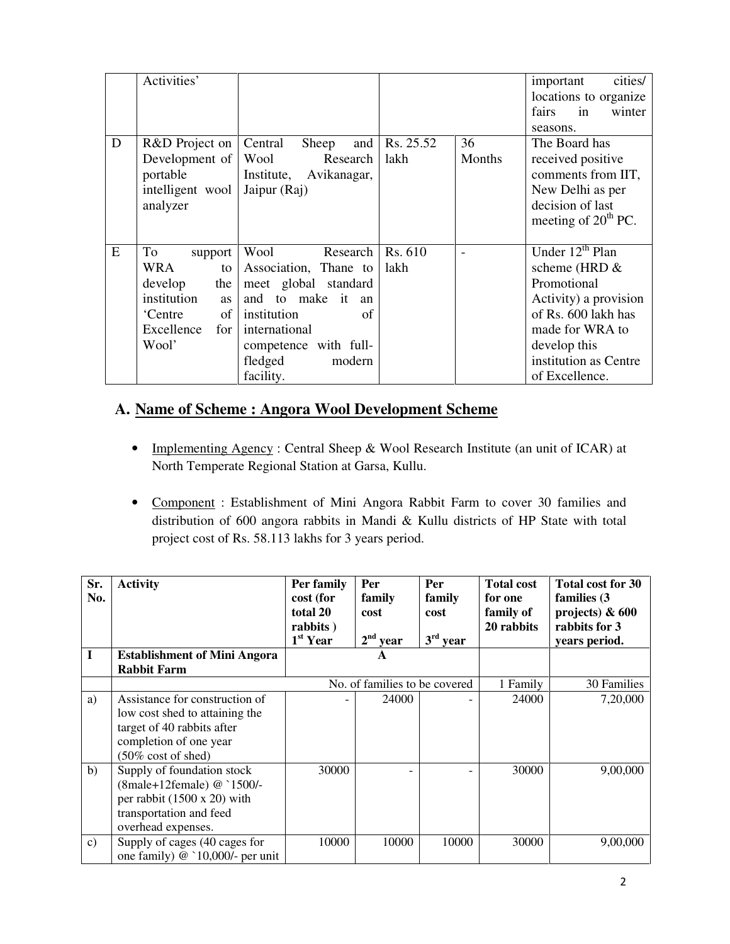|   | Activities'                                                                                                      |                                                                                                                                                                                           |                               |              | cities/<br>important<br>locations to organize<br>fairs<br>in<br>winter<br>seasons.                                                                                              |
|---|------------------------------------------------------------------------------------------------------------------|-------------------------------------------------------------------------------------------------------------------------------------------------------------------------------------------|-------------------------------|--------------|---------------------------------------------------------------------------------------------------------------------------------------------------------------------------------|
| D | R&D Project on<br>Development of<br>portable<br>intelligent wool<br>analyzer                                     | Central<br>Sheep<br>Research<br>Wool<br>Institute, Avikanagar,<br>Jaipur (Raj)                                                                                                            | and $\vert$ Rs. 25.52<br>lakh | 36<br>Months | The Board has<br>received positive<br>comments from IIT,<br>New Delhi as per<br>decision of last<br>meeting of $20th PC$ .                                                      |
| E | To<br>support<br>WRA<br>to<br>develop<br>the<br>institution<br>as<br>of<br>'Centre<br>Excellence<br>for<br>Wool' | Wool<br>Research  <br>Association, Thane to<br>meet global standard<br>and to make it an<br>institution<br>of<br>international<br>competence with full-<br>fledged<br>modern<br>facility. | Rs. 610<br>lakh               |              | Under $12th$ Plan<br>scheme (HRD &<br>Promotional<br>Activity) a provision<br>of Rs. 600 lakh has<br>made for WRA to<br>develop this<br>institution as Centre<br>of Excellence. |

# **A. Name of Scheme : Angora Wool Development Scheme**

- Implementing Agency : Central Sheep & Wool Research Institute (an unit of ICAR) at North Temperate Regional Station at Garsa, Kullu.
- Component : Establishment of Mini Angora Rabbit Farm to cover 30 families and distribution of 600 angora rabbits in Mandi & Kullu districts of HP State with total project cost of Rs. 58.113 lakhs for 3 years period.

| Sr.<br>No.    | <b>Activity</b>                                                                                                                                           | Per family<br>cost (for<br>total 20<br>rabbits)<br>1 <sup>st</sup> Year | Per<br>family<br>cost<br>$2nd$ year | Per<br>family<br>cost<br>$3rd$ year | <b>Total cost</b><br>for one<br>family of<br>20 rabbits | <b>Total cost for 30</b><br>families (3)<br>projects) $\& 600$<br>rabbits for 3<br>years period. |
|---------------|-----------------------------------------------------------------------------------------------------------------------------------------------------------|-------------------------------------------------------------------------|-------------------------------------|-------------------------------------|---------------------------------------------------------|--------------------------------------------------------------------------------------------------|
| I             | <b>Establishment of Mini Angora</b>                                                                                                                       |                                                                         | A                                   |                                     |                                                         |                                                                                                  |
|               | <b>Rabbit Farm</b>                                                                                                                                        |                                                                         |                                     |                                     |                                                         |                                                                                                  |
|               |                                                                                                                                                           |                                                                         | No. of families to be covered       |                                     | 1 Family                                                | 30 Families                                                                                      |
| a)            | Assistance for construction of<br>low cost shed to attaining the<br>target of 40 rabbits after<br>completion of one year<br>$(50\% \text{ cost of shed})$ |                                                                         | 24000                               |                                     | 24000                                                   | 7,20,000                                                                                         |
| b)            | Supply of foundation stock<br>(8male+12female) @ `1500/-<br>per rabbit $(1500 \times 20)$ with<br>transportation and feed<br>overhead expenses.           | 30000                                                                   |                                     |                                     | 30000                                                   | 9,00,000                                                                                         |
| $\mathbf{c})$ | Supply of cages (40 cages for<br>one family) $@$ `10,000/- per unit                                                                                       | 10000                                                                   | 10000                               | 10000                               | 30000                                                   | 9,00,000                                                                                         |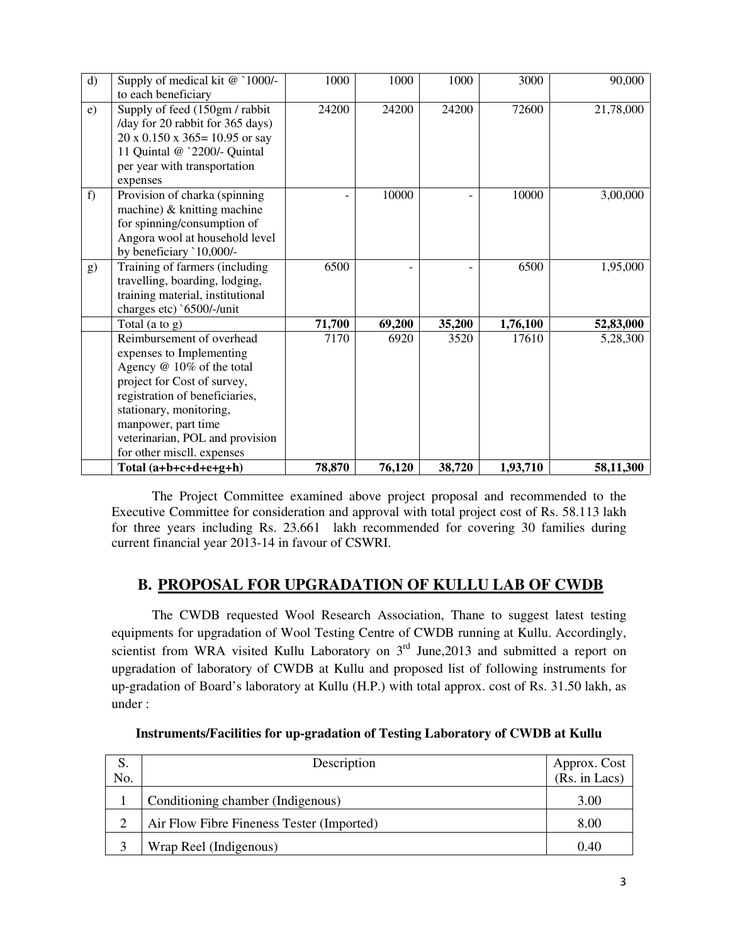| $\mathbf{d}$ | Supply of medical kit @ `1000/-<br>to each beneficiary                                                                                                                                                                                                                 | 1000   | 1000   | 1000   | 3000     | 90,000    |
|--------------|------------------------------------------------------------------------------------------------------------------------------------------------------------------------------------------------------------------------------------------------------------------------|--------|--------|--------|----------|-----------|
| e)           | Supply of feed (150gm / rabbit<br>/day for 20 rabbit for 365 days)<br>$20 \times 0.150 \times 365 = 10.95$ or say<br>11 Quintal @ `2200/- Quintal<br>per year with transportation<br>expenses                                                                          | 24200  | 24200  | 24200  | 72600    | 21,78,000 |
| f)           | Provision of charka (spinning<br>machine) & knitting machine<br>for spinning/consumption of<br>Angora wool at household level<br>by beneficiary `10,000/-                                                                                                              |        | 10000  |        | 10000    | 3,00,000  |
| g)           | Training of farmers (including<br>travelling, boarding, lodging,<br>training material, institutional<br>charges etc) `6500/-/unit                                                                                                                                      | 6500   |        |        | 6500     | 1,95,000  |
|              | Total $(a \text{ to } g)$                                                                                                                                                                                                                                              | 71,700 | 69,200 | 35,200 | 1,76,100 | 52,83,000 |
|              | Reimbursement of overhead<br>expenses to Implementing<br>Agency @ 10% of the total<br>project for Cost of survey,<br>registration of beneficiaries,<br>stationary, monitoring,<br>manpower, part time<br>veterinarian, POL and provision<br>for other miscll. expenses | 7170   | 6920   | 3520   | 17610    | 5,28,300  |
|              | Total $(a+b+c+d+e+g+h)$                                                                                                                                                                                                                                                | 78,870 | 76,120 | 38,720 | 1,93,710 | 58,11,300 |

 The Project Committee examined above project proposal and recommended to the Executive Committee for consideration and approval with total project cost of Rs. 58.113 lakh for three years including Rs. 23.661 lakh recommended for covering 30 families during current financial year 2013-14 in favour of CSWRI.

# **B. PROPOSAL FOR UPGRADATION OF KULLU LAB OF CWDB**

 The CWDB requested Wool Research Association, Thane to suggest latest testing equipments for upgradation of Wool Testing Centre of CWDB running at Kullu. Accordingly, scientist from WRA visited Kullu Laboratory on  $3<sup>rd</sup>$  June, 2013 and submitted a report on upgradation of laboratory of CWDB at Kullu and proposed list of following instruments for up-gradation of Board's laboratory at Kullu (H.P.) with total approx. cost of Rs. 31.50 lakh, as under :

| S.            | Description                               |                               |
|---------------|-------------------------------------------|-------------------------------|
| No.           |                                           | Approx. Cost<br>(Rs. in Lacs) |
|               | Conditioning chamber (Indigenous)         | 3.00                          |
| $\mathcal{D}$ | Air Flow Fibre Fineness Tester (Imported) | 8.00                          |
| 3             | Wrap Reel (Indigenous)                    | 0.40                          |

**Instruments/Facilities for up-gradation of Testing Laboratory of CWDB at Kullu**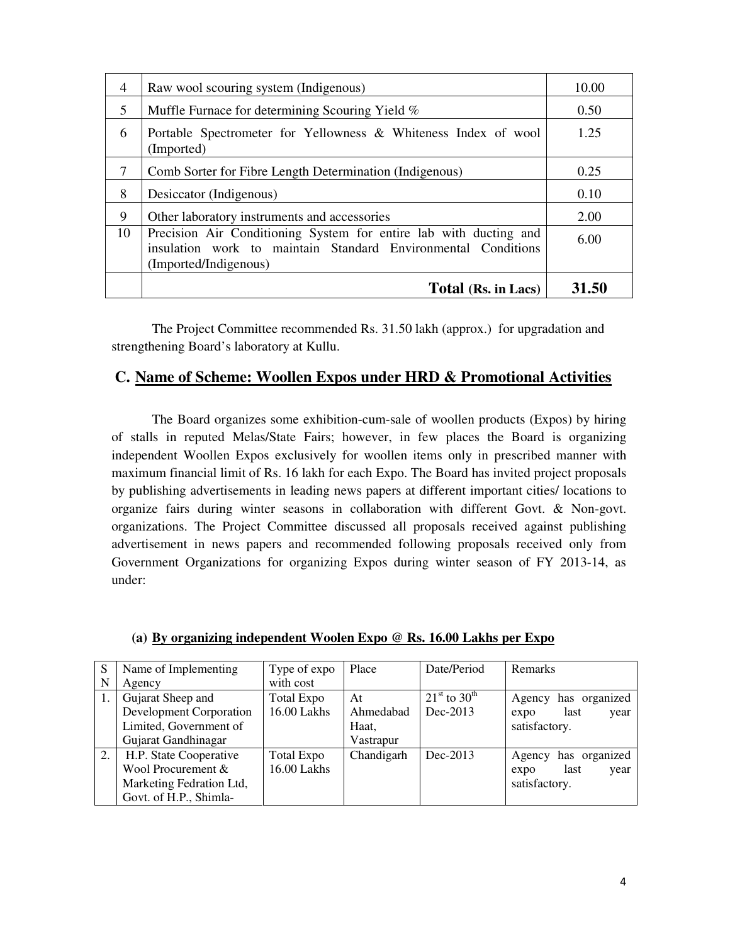| $\overline{4}$ | Raw wool scouring system (Indigenous)                                                                                                                       | 10.00 |
|----------------|-------------------------------------------------------------------------------------------------------------------------------------------------------------|-------|
| 5              | Muffle Furnace for determining Scouring Yield %                                                                                                             | 0.50  |
| 6              | Portable Spectrometer for Yellowness & Whiteness Index of wool<br>(Imported)                                                                                | 1.25  |
| 7              | Comb Sorter for Fibre Length Determination (Indigenous)                                                                                                     | 0.25  |
| 8              | Desiccator (Indigenous)                                                                                                                                     | 0.10  |
| 9              | Other laboratory instruments and accessories                                                                                                                | 2.00  |
| 10             | Precision Air Conditioning System for entire lab with ducting and<br>insulation work to maintain Standard Environmental Conditions<br>(Imported/Indigenous) | 6.00  |
|                | Total (Rs. in Lacs)                                                                                                                                         | 31.50 |

 The Project Committee recommended Rs. 31.50 lakh (approx.) for upgradation and strengthening Board's laboratory at Kullu.

### **C. Name of Scheme: Woollen Expos under HRD & Promotional Activities**

 The Board organizes some exhibition-cum-sale of woollen products (Expos) by hiring of stalls in reputed Melas/State Fairs; however, in few places the Board is organizing independent Woollen Expos exclusively for woollen items only in prescribed manner with maximum financial limit of Rs. 16 lakh for each Expo. The Board has invited project proposals by publishing advertisements in leading news papers at different important cities/ locations to organize fairs during winter seasons in collaboration with different Govt. & Non-govt. organizations. The Project Committee discussed all proposals received against publishing advertisement in news papers and recommended following proposals received only from Government Organizations for organizing Expos during winter season of FY 2013-14, as under:

| S  | Name of Implementing           | Type of expo      | Place      | Date/Period                       | Remarks                 |
|----|--------------------------------|-------------------|------------|-----------------------------------|-------------------------|
| N  | Agency                         | with cost         |            |                                   |                         |
| 1. | Gujarat Sheep and              | <b>Total Expo</b> | At         | $21^{\rm st}$ to 30 <sup>th</sup> | has organized<br>Agency |
|    | <b>Development Corporation</b> | 16.00 Lakhs       | Ahmedabad  | $Dec-2013$                        | last<br>year<br>expo    |
|    | Limited, Government of         |                   | Haat,      |                                   | satisfactory.           |
|    | Gujarat Gandhinagar            |                   | Vastrapur  |                                   |                         |
| 2. | H.P. State Cooperative         | Total Expo        | Chandigarh | $Dec-2013$                        | has organized<br>Agency |
|    | Wool Procurement &             | 16.00 Lakhs       |            |                                   | last<br>year<br>expo    |
|    | Marketing Fedration Ltd,       |                   |            |                                   | satisfactory.           |
|    | Govt. of H.P., Shimla-         |                   |            |                                   |                         |

**(a) By organizing independent Woolen Expo @ Rs. 16.00 Lakhs per Expo**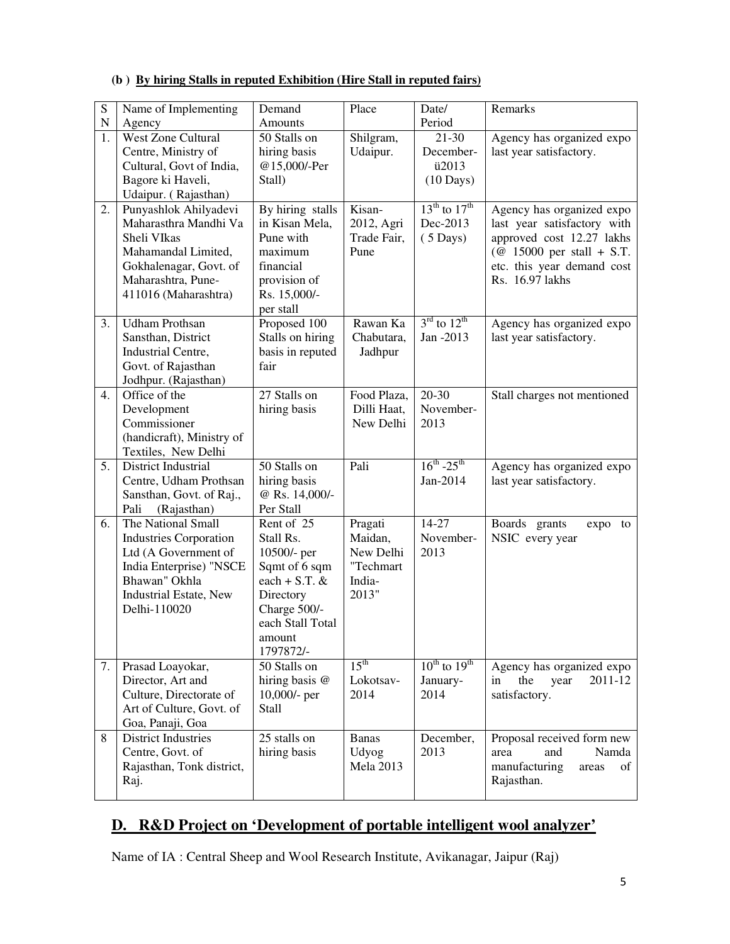| S         | Name of Implementing                                                                                                                                                     | Demand                                                                                                                                             | Place                                                           | Date/                                                    | Remarks                                                                                                                                                                |
|-----------|--------------------------------------------------------------------------------------------------------------------------------------------------------------------------|----------------------------------------------------------------------------------------------------------------------------------------------------|-----------------------------------------------------------------|----------------------------------------------------------|------------------------------------------------------------------------------------------------------------------------------------------------------------------------|
| ${\bf N}$ | Agency                                                                                                                                                                   | Amounts                                                                                                                                            |                                                                 | Period                                                   |                                                                                                                                                                        |
| 1.        | <b>West Zone Cultural</b><br>Centre, Ministry of<br>Cultural, Govt of India,<br>Bagore ki Haveli,<br>Udaipur. (Rajasthan)                                                | $\overline{50}$ Stalls on<br>hiring basis<br>@15,000/-Per<br>Stall)                                                                                | Shilgram,<br>Udaipur.                                           | 21-30<br>December-<br>ü2013<br>$(10 \text{ Days})$       | Agency has organized expo<br>last year satisfactory.                                                                                                                   |
| 2.        | Punyashlok Ahilyadevi<br>Maharasthra Mandhi Va<br>Sheli VIkas<br>Mahamandal Limited,<br>Gokhalenagar, Govt. of<br>Maharashtra, Pune-<br>411016 (Maharashtra)             | By hiring stalls<br>in Kisan Mela,<br>Pune with<br>maximum<br>financial<br>provision of<br>Rs. 15,000/-<br>per stall                               | Kisan-<br>2012, Agri<br>Trade Fair,<br>Pune                     | $13^{th}$ to $17^{th}$<br>Dec-2013<br>$(5 \text{ Days})$ | Agency has organized expo<br>last year satisfactory with<br>approved cost 12.27 lakhs<br>( $@$ 15000 per stall + S.T.<br>etc. this year demand cost<br>Rs. 16.97 lakhs |
| 3.        | <b>Udham Prothsan</b><br>Sansthan, District<br>Industrial Centre,<br>Govt. of Rajasthan<br>Jodhpur. (Rajasthan)                                                          | Proposed 100<br>Stalls on hiring<br>basis in reputed<br>fair                                                                                       | Rawan Ka<br>Chabutara,<br>Jadhpur                               | $3rd$ to $12th$<br>Jan -2013                             | Agency has organized expo<br>last year satisfactory.                                                                                                                   |
| 4.        | Office of the<br>Development<br>Commissioner<br>(handicraft), Ministry of<br>Textiles, New Delhi                                                                         | 27 Stalls on<br>hiring basis                                                                                                                       | Food Plaza,<br>Dilli Haat,<br>New Delhi                         | $20 - 30$<br>November-<br>2013                           | Stall charges not mentioned                                                                                                                                            |
| 5.        | District Industrial<br>Centre, Udham Prothsan<br>Sansthan, Govt. of Raj.,<br>Pali<br>(Rajasthan)                                                                         | 50 Stalls on<br>hiring basis<br>@ Rs. 14,000/-<br>Per Stall                                                                                        | Pali                                                            | $16^{th}$ -25 <sup>th</sup><br>Jan-2014                  | Agency has organized expo<br>last year satisfactory.                                                                                                                   |
| 6.        | The National Small<br><b>Industries Corporation</b><br>Ltd (A Government of<br>India Enterprise) "NSCE<br>Bhawan" Okhla<br><b>Industrial Estate, New</b><br>Delhi-110020 | Rent of 25<br>Stall Rs.<br>10500/- per<br>Sqmt of 6 sqm<br>each + S.T. $&$<br>Directory<br>Charge 500/-<br>each Stall Total<br>amount<br>1797872/- | Pragati<br>Maidan,<br>New Delhi<br>"Techmart<br>India-<br>2013" | $14-27$<br>November-<br>2013                             | Boards grants<br>expo<br>to<br>NSIC every year                                                                                                                         |
| 7.        | Prasad Loayokar,<br>Director, Art and<br>Culture, Directorate of<br>Art of Culture, Govt. of<br>Goa, Panaji, Goa                                                         | 50 Stalls on<br>hiring basis @<br>10,000/- per<br><b>Stall</b>                                                                                     | 15 <sup>th</sup><br>Lokotsav-<br>2014                           | $10^{th}$ to $19^{th}$<br>January-<br>2014               | Agency has organized expo<br>2011-12<br>the<br>in<br>year<br>satisfactory.                                                                                             |
| 8         | <b>District Industries</b><br>Centre, Govt. of<br>Rajasthan, Tonk district,<br>Raj.                                                                                      | 25 stalls on<br>hiring basis                                                                                                                       | <b>Banas</b><br>Udyog<br><b>Mela 2013</b>                       | December,<br>2013                                        | Proposal received form new<br>and<br>Namda<br>area<br>manufacturing<br>of<br>areas<br>Rajasthan.                                                                       |

#### **(b ) By hiring Stalls in reputed Exhibition (Hire Stall in reputed fairs)**

### **D. R&D Project on 'Development of portable intelligent wool analyzer'**

Name of IA : Central Sheep and Wool Research Institute, Avikanagar, Jaipur (Raj)